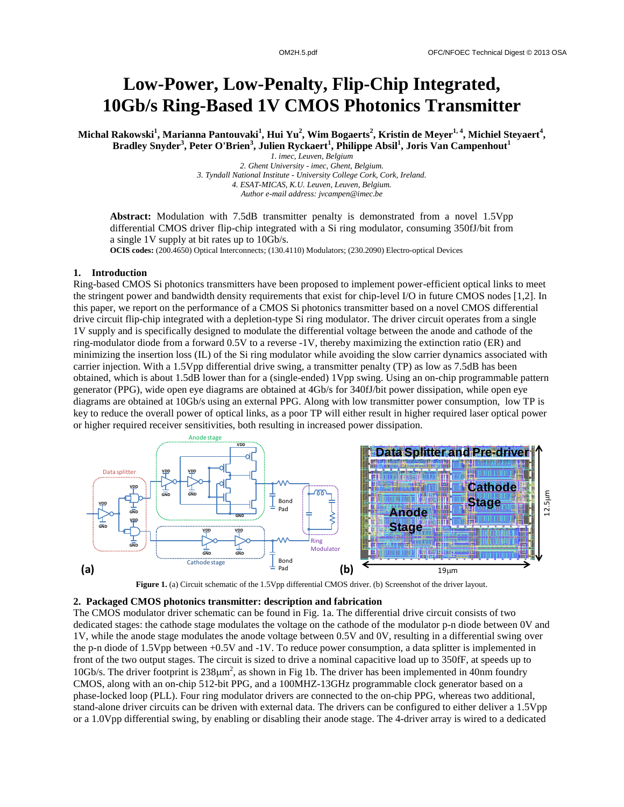# **Low-Power, Low-Penalty, Flip-Chip Integrated, 10Gb/s Ring-Based 1V CMOS Photonics Transmitter**

**Michal Rakowski<sup>1</sup> , Marianna Pantouvaki<sup>1</sup> , Hui Yu<sup>2</sup> , Wim Bogaerts<sup>2</sup> , Kristin de Meyer1, 4, Michiel Steyaert<sup>4</sup> , Bradley Snyder<sup>3</sup> , Peter O'Brien<sup>3</sup> , Julien Ryckaert<sup>1</sup> , Philippe Absil<sup>1</sup> , Joris Van Campenhout<sup>1</sup>**

*1. imec, Leuven, Belgium 2. Ghent University - imec, Ghent, Belgium. 3. Tyndall National Institute - University College Cork, Cork, Ireland. 4. ESAT-MICAS, K.U. Leuven, Leuven, Belgium. Author e-mail address: jvcampen@imec.be*

Abstract: Modulation with 7.5dB transmitter penalty is demonstrated from a novel 1.5Vpp differential CMOS driver flip-chip integrated with a Si ring modulator, consuming 350fJ/bit from a single 1V supply at bit rates up to 10Gb/s.

**OCIS codes:** (200.4650) Optical Interconnects; (130.4110) Modulators; (230.2090) Electro-optical Devices

## **1. Introduction**

Ring-based CMOS Si photonics transmitters have been proposed to implement power-efficient optical links to meet the stringent power and bandwidth density requirements that exist for chip-level I/O in future CMOS nodes [1,2]. In this paper, we report on the performance of a CMOS Si photonics transmitter based on a novel CMOS differential drive circuit flip-chip integrated with a depletion-type Si ring modulator. The driver circuit operates from a single 1V supply and is specifically designed to modulate the differential voltage between the anode and cathode of the ring-modulator diode from a forward 0.5V to a reverse -1V, thereby maximizing the extinction ratio (ER) and minimizing the insertion loss (IL) of the Si ring modulator while avoiding the slow carrier dynamics associated with carrier injection. With a 1.5Vpp differential drive swing, a transmitter penalty (TP) as low as 7.5dB has been obtained, which is about 1.5dB lower than for a (single-ended) 1Vpp swing. Using an on-chip programmable pattern generator (PPG), wide open eye diagrams are obtained at 4Gb/s for 340fJ/bit power dissipation, while open eye diagrams are obtained at 10Gb/s using an external PPG. Along with low transmitter power consumption, low TP is key to reduce the overall power of optical links, as a poor TP will either result in higher required laser optical power or higher required receiver sensitivities, both resulting in increased power dissipation.



**Figure 1.** (a) Circuit schematic of the 1.5Vpp differential CMOS driver. (b) Screenshot of the driver layout.

### **2. Packaged CMOS photonics transmitter: description and fabrication**

The CMOS modulator driver schematic can be found in Fig. 1a. The differential drive circuit consists of two dedicated stages: the cathode stage modulates the voltage on the cathode of the modulator p-n diode between 0V and 1V, while the anode stage modulates the anode voltage between 0.5V and 0V, resulting in a differential swing over the p-n diode of 1.5Vpp between +0.5V and -1V. To reduce power consumption, a data splitter is implemented in front of the two output stages. The circuit is sized to drive a nominal capacitive load up to 350fF, at speeds up to 10Gb/s. The driver footprint is  $238\mu m^2$ , as shown in Fig 1b. The driver has been implemented in 40nm foundry CMOS, along with an on-chip 512-bit PPG, and a 100MHZ-13GHz programmable clock generator based on a phase-locked loop (PLL). Four ring modulator drivers are connected to the on-chip PPG, whereas two additional, stand-alone driver circuits can be driven with external data. The drivers can be configured to either deliver a 1.5Vpp or a 1.0Vpp differential swing, by enabling or disabling their anode stage. The 4-driver array is wired to a dedicated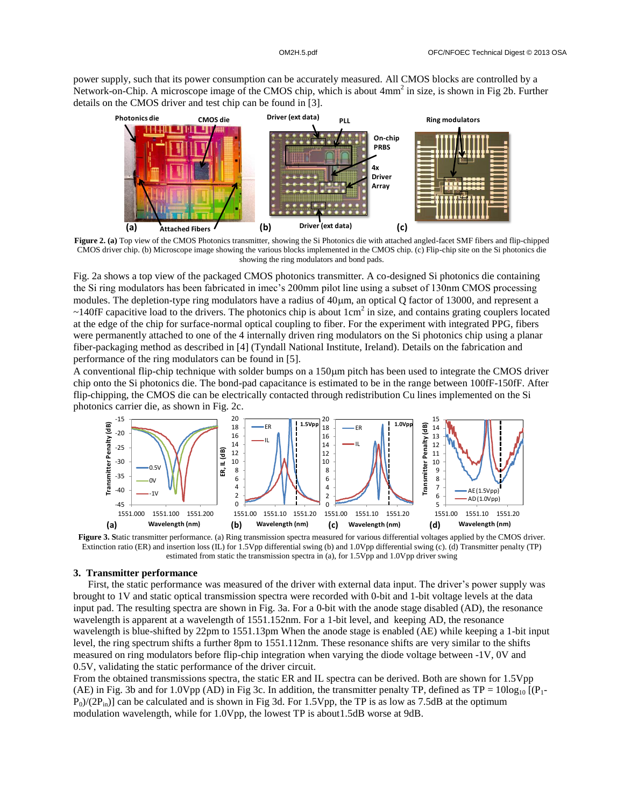power supply, such that its power consumption can be accurately measured. All CMOS blocks are controlled by a Network-on-Chip. A microscope image of the CMOS chip, which is about 4mm<sup>2</sup> in size, is shown in Fig 2b. Further details on the CMOS driver and test chip can be found in [3].



**Figure 2. (a)** Top view of the CMOS Photonics transmitter, showing the Si Photonics die with attached angled-facet SMF fibers and flip-chipped CMOS driver chip. (b) Microscope image showing the various blocks implemented in the CMOS chip. (c) Flip-chip site on the Si photonics die showing the ring modulators and bond pads.

Fig. 2a shows a top view of the packaged CMOS photonics transmitter. A co-designed Si photonics die containing the Si ring modulators has been fabricated in imec's 200mm pilot line using a subset of 130nm CMOS processing modules. The depletion-type ring modulators have a radius of  $40 \mu m$ , an optical Q factor of 13000, and represent a  $\sim$ 140fF capacitive load to the drivers. The photonics chip is about 1cm<sup>2</sup> in size, and contains grating couplers located at the edge of the chip for surface-normal optical coupling to fiber. For the experiment with integrated PPG, fibers were permanently attached to one of the 4 internally driven ring modulators on the Si photonics chip using a planar fiber-packaging method as described in [4] (Tyndall National Institute, Ireland). Details on the fabrication and performance of the ring modulators can be found in [5].

A conventional flip-chip technique with solder bumps on a  $150\mu m$  pitch has been used to integrate the CMOS driver chip onto the Si photonics die. The bond-pad capacitance is estimated to be in the range between 100fF-150fF. After flip-chipping, the CMOS die can be electrically contacted through redistribution Cu lines implemented on the Si photonics carrier die, as shown in Fig. 2c.



**Figure 3. S**tatic transmitter performance. (a) Ring transmission spectra measured for various differential voltages applied by the CMOS driver. Extinction ratio (ER) and insertion loss (IL) for 1.5Vpp differential swing (b) and 1.0Vpp differential swing (c). (d) Transmitter penalty (TP) estimated from static the transmission spectra in (a), for 1.5Vpp and 1.0Vpp driver swing

### **3. Transmitter performance**

First, the static performance was measured of the driver with external data input. The driver's power supply was brought to 1V and static optical transmission spectra were recorded with 0-bit and 1-bit voltage levels at the data input pad. The resulting spectra are shown in Fig. 3a. For a 0-bit with the anode stage disabled (AD), the resonance wavelength is apparent at a wavelength of 1551.152nm. For a 1-bit level, and keeping AD, the resonance wavelength is blue-shifted by 22pm to 1551.13pm When the anode stage is enabled (AE) while keeping a 1-bit input level, the ring spectrum shifts a further 8pm to 1551.112nm. These resonance shifts are very similar to the shifts measured on ring modulators before flip-chip integration when varying the diode voltage between -1V, 0V and 0.5V, validating the static performance of the driver circuit.

From the obtained transmissions spectra, the static ER and IL spectra can be derived. Both are shown for 1.5Vpp (AE) in Fig. 3b and for 1.0Vpp (AD) in Fig 3c. In addition, the transmitter penalty TP, defined as  $TP = 10\log_{10} [(P_1-P_2)/P_1]$  $P_0/(2P_{in})$ ] can be calculated and is shown in Fig 3d. For 1.5Vpp, the TP is as low as 7.5dB at the optimum modulation wavelength, while for 1.0Vpp, the lowest TP is about1.5dB worse at 9dB.